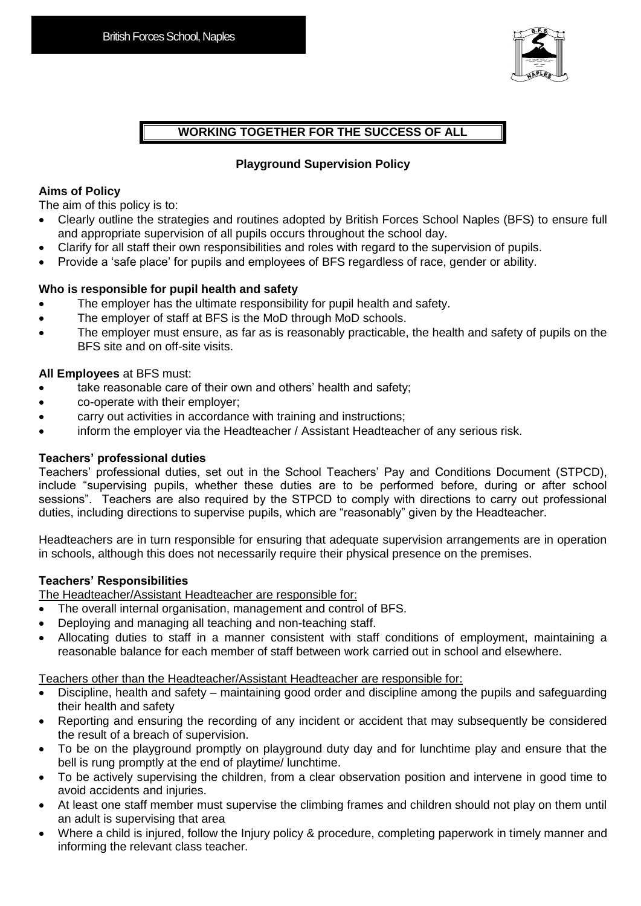

## **WORKING TOGETHER FOR THE SUCCESS OF ALL**

### **Playground Supervision Policy**

#### **Aims of Policy**

The aim of this policy is to:

- Clearly outline the strategies and routines adopted by British Forces School Naples (BFS) to ensure full and appropriate supervision of all pupils occurs throughout the school day.
- Clarify for all staff their own responsibilities and roles with regard to the supervision of pupils.
- Provide a 'safe place' for pupils and employees of BFS regardless of race, gender or ability.

### **Who is responsible for pupil health and safety**

- The employer has the ultimate responsibility for pupil health and safety.
- The employer of staff at BFS is the MoD through MoD schools.
- The employer must ensure, as far as is reasonably practicable, the health and safety of pupils on the BFS site and on off-site visits.

#### **All Employees** at BFS must:

- take reasonable care of their own and others' health and safety;
- co-operate with their employer;
- carry out activities in accordance with training and instructions;
- inform the employer via the Headteacher / Assistant Headteacher of any serious risk.

#### **Teachers' professional duties**

Teachers' professional duties, set out in the School Teachers' Pay and Conditions Document (STPCD), include "supervising pupils, whether these duties are to be performed before, during or after school sessions". Teachers are also required by the STPCD to comply with directions to carry out professional duties, including directions to supervise pupils, which are "reasonably" given by the Headteacher.

Headteachers are in turn responsible for ensuring that adequate supervision arrangements are in operation in schools, although this does not necessarily require their physical presence on the premises.

### **Teachers' Responsibilities**

The Headteacher/Assistant Headteacher are responsible for:

- The overall internal organisation, management and control of BFS.
- Deploying and managing all teaching and non-teaching staff.
- Allocating duties to staff in a manner consistent with staff conditions of employment, maintaining a reasonable balance for each member of staff between work carried out in school and elsewhere.

Teachers other than the Headteacher/Assistant Headteacher are responsible for:

- Discipline, health and safety maintaining good order and discipline among the pupils and safeguarding their health and safety
- Reporting and ensuring the recording of any incident or accident that may subsequently be considered the result of a breach of supervision.
- To be on the playground promptly on playground duty day and for lunchtime play and ensure that the bell is rung promptly at the end of playtime/ lunchtime.
- To be actively supervising the children, from a clear observation position and intervene in good time to avoid accidents and injuries.
- At least one staff member must supervise the climbing frames and children should not play on them until an adult is supervising that area
- Where a child is injured, follow the Injury policy & procedure, completing paperwork in timely manner and informing the relevant class teacher.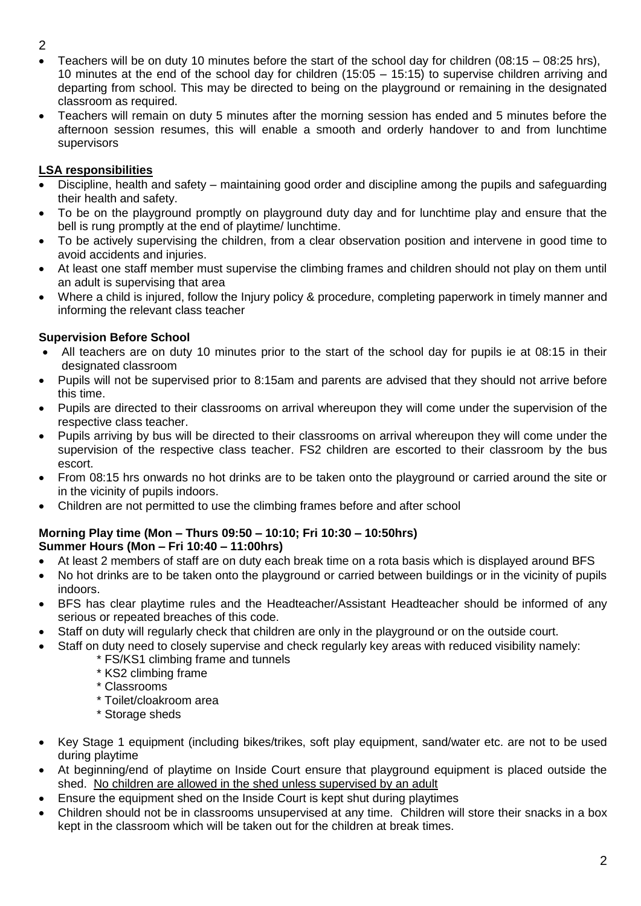- 2
- Teachers will be on duty 10 minutes before the start of the school day for children (08:15 08:25 hrs), 10 minutes at the end of the school day for children (15:05 – 15:15) to supervise children arriving and departing from school. This may be directed to being on the playground or remaining in the designated classroom as required.
- Teachers will remain on duty 5 minutes after the morning session has ended and 5 minutes before the afternoon session resumes, this will enable a smooth and orderly handover to and from lunchtime supervisors

# **LSA responsibilities**

- Discipline, health and safety maintaining good order and discipline among the pupils and safeguarding their health and safety.
- To be on the playground promptly on playground duty day and for lunchtime play and ensure that the bell is rung promptly at the end of playtime/ lunchtime.
- To be actively supervising the children, from a clear observation position and intervene in good time to avoid accidents and injuries.
- At least one staff member must supervise the climbing frames and children should not play on them until an adult is supervising that area
- Where a child is injured, follow the Injury policy & procedure, completing paperwork in timely manner and informing the relevant class teacher

# **Supervision Before School**

- All teachers are on duty 10 minutes prior to the start of the school day for pupils ie at 08:15 in their designated classroom
- Pupils will not be supervised prior to 8:15am and parents are advised that they should not arrive before this time.
- Pupils are directed to their classrooms on arrival whereupon they will come under the supervision of the respective class teacher.
- Pupils arriving by bus will be directed to their classrooms on arrival whereupon they will come under the supervision of the respective class teacher. FS2 children are escorted to their classroom by the bus escort.
- From 08:15 hrs onwards no hot drinks are to be taken onto the playground or carried around the site or in the vicinity of pupils indoors.
- Children are not permitted to use the climbing frames before and after school

### **Morning Play time (Mon – Thurs 09:50 – 10:10; Fri 10:30 – 10:50hrs) Summer Hours (Mon – Fri 10:40 – 11:00hrs)**

- At least 2 members of staff are on duty each break time on a rota basis which is displayed around BFS
- No hot drinks are to be taken onto the playground or carried between buildings or in the vicinity of pupils indoors.
- BFS has clear playtime rules and the Headteacher/Assistant Headteacher should be informed of any serious or repeated breaches of this code.
- Staff on duty will regularly check that children are only in the playground or on the outside court.
- Staff on duty need to closely supervise and check regularly key areas with reduced visibility namely:
	- \* FS/KS1 climbing frame and tunnels
	- \* KS2 climbing frame
	- \* Classrooms
	- \* Toilet/cloakroom area
	- \* Storage sheds
- Key Stage 1 equipment (including bikes/trikes, soft play equipment, sand/water etc. are not to be used during playtime
- At beginning/end of playtime on Inside Court ensure that playground equipment is placed outside the shed. No children are allowed in the shed unless supervised by an adult
- Ensure the equipment shed on the Inside Court is kept shut during playtimes
- Children should not be in classrooms unsupervised at any time. Children will store their snacks in a box kept in the classroom which will be taken out for the children at break times.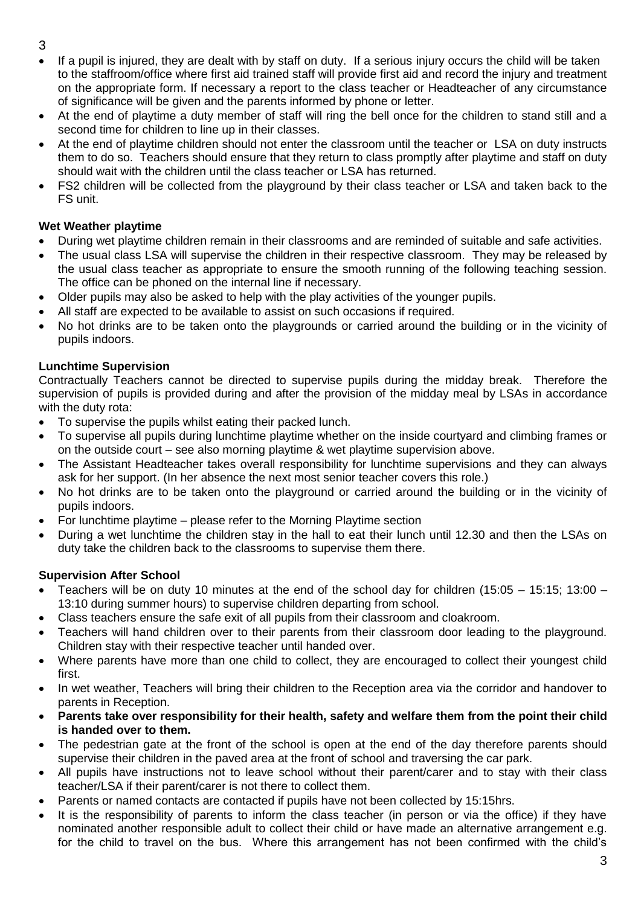- 3
- If a pupil is injured, they are dealt with by staff on duty. If a serious injury occurs the child will be taken to the staffroom/office where first aid trained staff will provide first aid and record the injury and treatment on the appropriate form. If necessary a report to the class teacher or Headteacher of any circumstance of significance will be given and the parents informed by phone or letter.
- At the end of playtime a duty member of staff will ring the bell once for the children to stand still and a second time for children to line up in their classes.
- At the end of playtime children should not enter the classroom until the teacher or LSA on duty instructs them to do so. Teachers should ensure that they return to class promptly after playtime and staff on duty should wait with the children until the class teacher or LSA has returned.
- FS2 children will be collected from the playground by their class teacher or LSA and taken back to the FS unit.

## **Wet Weather playtime**

- During wet playtime children remain in their classrooms and are reminded of suitable and safe activities.
- The usual class LSA will supervise the children in their respective classroom. They may be released by the usual class teacher as appropriate to ensure the smooth running of the following teaching session. The office can be phoned on the internal line if necessary.
- Older pupils may also be asked to help with the play activities of the younger pupils.
- All staff are expected to be available to assist on such occasions if required.
- No hot drinks are to be taken onto the playgrounds or carried around the building or in the vicinity of pupils indoors.

## **Lunchtime Supervision**

Contractually Teachers cannot be directed to supervise pupils during the midday break. Therefore the supervision of pupils is provided during and after the provision of the midday meal by LSAs in accordance with the duty rota:

- To supervise the pupils whilst eating their packed lunch.
- To supervise all pupils during lunchtime playtime whether on the inside courtyard and climbing frames or on the outside court – see also morning playtime & wet playtime supervision above.
- The Assistant Headteacher takes overall responsibility for lunchtime supervisions and they can always ask for her support. (In her absence the next most senior teacher covers this role.)
- No hot drinks are to be taken onto the playground or carried around the building or in the vicinity of pupils indoors.
- For lunchtime playtime please refer to the Morning Playtime section
- During a wet lunchtime the children stay in the hall to eat their lunch until 12.30 and then the LSAs on duty take the children back to the classrooms to supervise them there.

# **Supervision After School**

- Teachers will be on duty 10 minutes at the end of the school day for children (15:05 15:15; 13:00 13:10 during summer hours) to supervise children departing from school.
- Class teachers ensure the safe exit of all pupils from their classroom and cloakroom.
- Teachers will hand children over to their parents from their classroom door leading to the playground. Children stay with their respective teacher until handed over.
- Where parents have more than one child to collect, they are encouraged to collect their youngest child first.
- In wet weather, Teachers will bring their children to the Reception area via the corridor and handover to parents in Reception.
- **Parents take over responsibility for their health, safety and welfare them from the point their child is handed over to them.**
- The pedestrian gate at the front of the school is open at the end of the day therefore parents should supervise their children in the paved area at the front of school and traversing the car park.
- All pupils have instructions not to leave school without their parent/carer and to stay with their class teacher/LSA if their parent/carer is not there to collect them.
- Parents or named contacts are contacted if pupils have not been collected by 15:15hrs.
- It is the responsibility of parents to inform the class teacher (in person or via the office) if they have nominated another responsible adult to collect their child or have made an alternative arrangement e.g. for the child to travel on the bus. Where this arrangement has not been confirmed with the child's